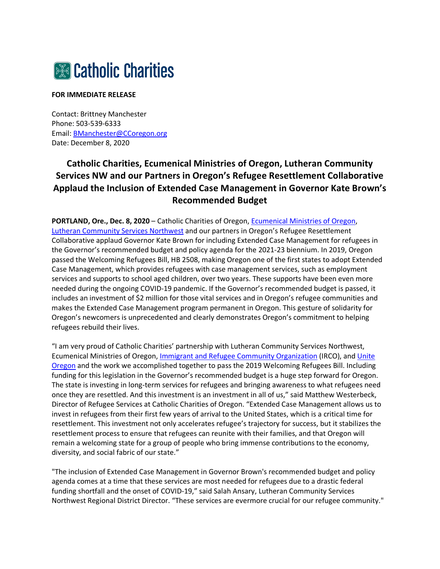

## **FOR IMMEDIATE RELEASE**

Contact: Brittney Manchester Phone: 503-539-6333 Email: [BManchester@CCoregon.org](mailto:BManchester@CCoregon.org) Date: December 8, 2020

## **Catholic Charities, Ecumenical Ministries of Oregon, Lutheran Community Services NW and our Partners in Oregon's Refugee Resettlement Collaborative Applaud the Inclusion of Extended Case Management in Governor Kate Brown's Recommended Budget**

**PORTLAND, Ore., Dec. 8, 2020** – Catholic Charities of Oregon[, Ecumenical Ministries of Oregon,](https://emoregon.org/) [Lutheran Community Services Northwest](https://lcsnw.org/) and our partners in Oregon's Refugee Resettlement Collaborative applaud Governor Kate Brown for including Extended Case Management for refugees in the Governor's recommended budget and policy agenda for the 2021-23 biennium. In 2019, Oregon passed the Welcoming Refugees Bill, HB 2508, making Oregon one of the first states to adopt Extended Case Management, which provides refugees with case management services, such as employment services and supports to school aged children, over two years. These supports have been even more needed during the ongoing COVID-19 pandemic. If the Governor's recommended budget is passed, it includes an investment of \$2 million for those vital services and in Oregon's refugee communities and makes the Extended Case Management program permanent in Oregon. This gesture of solidarity for Oregon's newcomers is unprecedented and clearly demonstrates Oregon's commitment to helping refugees rebuild their lives.

"I am very proud of Catholic Charities' partnership with Lutheran Community Services Northwest, Ecumenical Ministries of Oregon, [Immigrant and Refugee Community Organization](https://irco.org/) (IRCO), and [Unite](https://www.uniteoregon.org/)  [Oregon](https://www.uniteoregon.org/) and the work we accomplished together to pass the 2019 Welcoming Refugees Bill. Including funding for this legislation in the Governor's recommended budget is a huge step forward for Oregon. The state is investing in long-term services for refugees and bringing awareness to what refugees need once they are resettled. And this investment is an investment in all of us," said Matthew Westerbeck, Director of Refugee Services at Catholic Charities of Oregon. "Extended Case Management allows us to invest in refugees from their first few years of arrival to the United States, which is a critical time for resettlement. This investment not only accelerates refugee's trajectory for success, but it stabilizes the resettlement process to ensure that refugees can reunite with their families, and that Oregon will remain a welcoming state for a group of people who bring immense contributions to the economy, diversity, and social fabric of our state."

"The inclusion of Extended Case Management in Governor Brown's recommended budget and policy agenda comes at a time that these services are most needed for refugees due to a drastic federal funding shortfall and the onset of COVID-19," said Salah Ansary, Lutheran Community Services Northwest Regional District Director. "These services are evermore crucial for our refugee community."